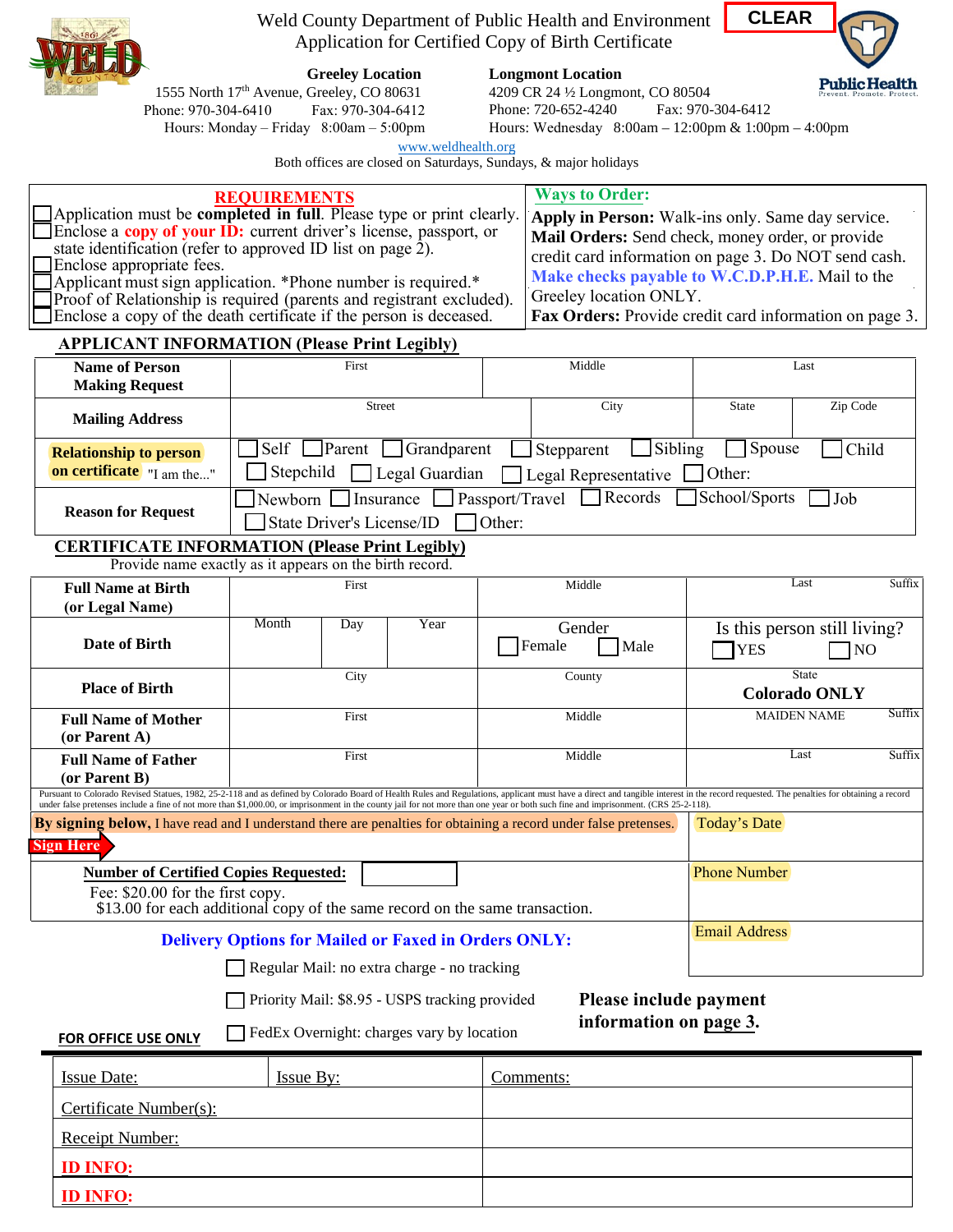

Weld County Department of Public Health and Environment Application for Certified Copy of Birth Certificate

**Greeley Location**

**Longmont Location** 

**CLEARPublic Health** 

1555 North 17<sup>th</sup> Avenue, Greeley, CO 80631<br>hone: 970-304-6410 Fax: 970-304-6412 Phone: 970-304-6410 Hours: Monday – Friday 8:00am – 5:00pm 4209 CR 24 ½ Longmont, CO 80504 Phone: 720-652-4240 Fax: 970-304-6412

Hours: Wednesday 8:00am – 12:00pm & 1:00pm – 4:00pm

[www.weldhealth.org](http://www.weldhealth.org/)

Both offices are closed on Saturdays, Sundays, & major holidays

| <b>REQUIREMENTS</b><br>Application must be completed in full. Please type or print clearly.<br>Enclose a copy of your ID: current driver's license, passport, or<br>state identification (refer to approved ID list on page 2).<br>Enclose appropriate fees.<br>Applicant must sign application. *Phone number is required.*<br>Proof of Relationship is required (parents and registrant excluded).<br>Enclose a copy of the death certificate if the person is deceased.<br><b>APPLICANT INFORMATION (Please Print Legibly)</b> |                                                                                                                |               |                                       |                      | <b>Ways to Order:</b><br>Apply in Person: Walk-ins only. Same day service.<br>Mail Orders: Send check, money order, or provide<br>credit card information on page 3. Do NOT send cash.<br>Make checks payable to W.C.D.P.H.E. Mail to the<br>Greeley location ONLY.<br>Fax Orders: Provide credit card information on page 3. |                                        |                         |                                                |        |
|-----------------------------------------------------------------------------------------------------------------------------------------------------------------------------------------------------------------------------------------------------------------------------------------------------------------------------------------------------------------------------------------------------------------------------------------------------------------------------------------------------------------------------------|----------------------------------------------------------------------------------------------------------------|---------------|---------------------------------------|----------------------|-------------------------------------------------------------------------------------------------------------------------------------------------------------------------------------------------------------------------------------------------------------------------------------------------------------------------------|----------------------------------------|-------------------------|------------------------------------------------|--------|
| <b>Name of Person</b>                                                                                                                                                                                                                                                                                                                                                                                                                                                                                                             |                                                                                                                | First         |                                       |                      |                                                                                                                                                                                                                                                                                                                               | Middle                                 |                         | Last                                           |        |
| <b>Making Request</b>                                                                                                                                                                                                                                                                                                                                                                                                                                                                                                             |                                                                                                                |               |                                       |                      |                                                                                                                                                                                                                                                                                                                               |                                        |                         |                                                |        |
| <b>Mailing Address</b>                                                                                                                                                                                                                                                                                                                                                                                                                                                                                                            | <b>Street</b>                                                                                                  |               |                                       |                      | City                                                                                                                                                                                                                                                                                                                          |                                        | <b>State</b>            | Zip Code                                       |        |
| <b>Relationship to person</b><br>on certificate "I am the"                                                                                                                                                                                                                                                                                                                                                                                                                                                                        | Self  <br>Stepchild                                                                                            | $\Box$ Parent | Strandparent<br>$\Box$ Legal Guardian |                      | Stepparent                                                                                                                                                                                                                                                                                                                    | Sibling<br>$\Box$ Legal Representative | Spouse<br>$\Box$ Other: | Child                                          |        |
| <b>Reason for Request</b>                                                                                                                                                                                                                                                                                                                                                                                                                                                                                                         | Insurance Passport/Travel Records<br>School/Sports<br>Job<br>Newborn [<br>7Other:<br>State Driver's License/ID |               |                                       |                      |                                                                                                                                                                                                                                                                                                                               |                                        |                         |                                                |        |
| <b>CERTIFICATE INFORMATION (Please Print Legibly)</b><br>Provide name exactly as it appears on the birth record.                                                                                                                                                                                                                                                                                                                                                                                                                  |                                                                                                                |               |                                       |                      |                                                                                                                                                                                                                                                                                                                               |                                        |                         |                                                |        |
| <b>Full Name at Birth</b><br>(or Legal Name)                                                                                                                                                                                                                                                                                                                                                                                                                                                                                      | First                                                                                                          |               |                                       |                      | Middle                                                                                                                                                                                                                                                                                                                        |                                        | Last<br>Suffix          |                                                |        |
| Date of Birth                                                                                                                                                                                                                                                                                                                                                                                                                                                                                                                     | Month                                                                                                          | Day           | Year                                  |                      | Gender<br>Female                                                                                                                                                                                                                                                                                                              | Male                                   | <b>YES</b>              | Is this person still living?<br>N <sub>O</sub> |        |
| <b>Place of Birth</b>                                                                                                                                                                                                                                                                                                                                                                                                                                                                                                             |                                                                                                                | City          |                                       |                      | County                                                                                                                                                                                                                                                                                                                        |                                        |                         | <b>State</b><br><b>Colorado ONLY</b>           |        |
| <b>Full Name of Mother</b><br>(or Parent A)                                                                                                                                                                                                                                                                                                                                                                                                                                                                                       | First                                                                                                          |               |                                       |                      | Middle                                                                                                                                                                                                                                                                                                                        |                                        |                         | <b>MAIDEN NAME</b>                             | Suffix |
| <b>Full Name of Father</b><br>(or Parent B)                                                                                                                                                                                                                                                                                                                                                                                                                                                                                       | First                                                                                                          |               |                                       |                      | Middle                                                                                                                                                                                                                                                                                                                        |                                        |                         | Last                                           | Suffix |
| Pursuant to Colorado Revised Statues, 1982, 25-2-118 and as defined by Colorado Board of Health Rules and Regulations, applicant must have a direct and tangible interest in the record requested. The penalties for obtaining<br>under false pretenses include a fine of not more than \$1,000.00, or imprisonment in the county jail for not more than one year or both such fine and imprisonment. (CRS 25-2-118).                                                                                                             |                                                                                                                |               |                                       |                      |                                                                                                                                                                                                                                                                                                                               |                                        |                         |                                                |        |
| Today's Date<br><b>By signing below,</b> I have read and I understand there are penalties for obtaining a record under false pretenses.<br><b>Sign Here</b>                                                                                                                                                                                                                                                                                                                                                                       |                                                                                                                |               |                                       |                      |                                                                                                                                                                                                                                                                                                                               |                                        |                         |                                                |        |
| <b>Phone Number</b><br><b>Number of Certified Copies Requested:</b><br>Fee: \$20.00 for the first copy.<br>\$13.00 for each additional copy of the same record on the same transaction.                                                                                                                                                                                                                                                                                                                                           |                                                                                                                |               |                                       |                      |                                                                                                                                                                                                                                                                                                                               |                                        |                         |                                                |        |
| <b>Delivery Options for Mailed or Faxed in Orders ONLY:</b>                                                                                                                                                                                                                                                                                                                                                                                                                                                                       |                                                                                                                |               |                                       | <b>Email Address</b> |                                                                                                                                                                                                                                                                                                                               |                                        |                         |                                                |        |
| Regular Mail: no extra charge - no tracking<br>Please include payment<br>Priority Mail: \$8.95 - USPS tracking provided<br>information on page 3.<br>FedEx Overnight: charges vary by location                                                                                                                                                                                                                                                                                                                                    |                                                                                                                |               |                                       |                      |                                                                                                                                                                                                                                                                                                                               |                                        |                         |                                                |        |
| FOR OFFICE USE ONLY                                                                                                                                                                                                                                                                                                                                                                                                                                                                                                               |                                                                                                                |               |                                       |                      |                                                                                                                                                                                                                                                                                                                               |                                        |                         |                                                |        |
| <b>Issue Date:</b>                                                                                                                                                                                                                                                                                                                                                                                                                                                                                                                | <b>Issue By:</b>                                                                                               |               |                                       |                      | Comments:                                                                                                                                                                                                                                                                                                                     |                                        |                         |                                                |        |

| <b>Issue Date:</b>     | <b>Issue By:</b> | Comments: |
|------------------------|------------------|-----------|
| Certificate Number(s): |                  |           |
| <b>Receipt Number:</b> |                  |           |
| <b>ID INFO:</b>        |                  |           |
| <b>ID INFO:</b>        |                  |           |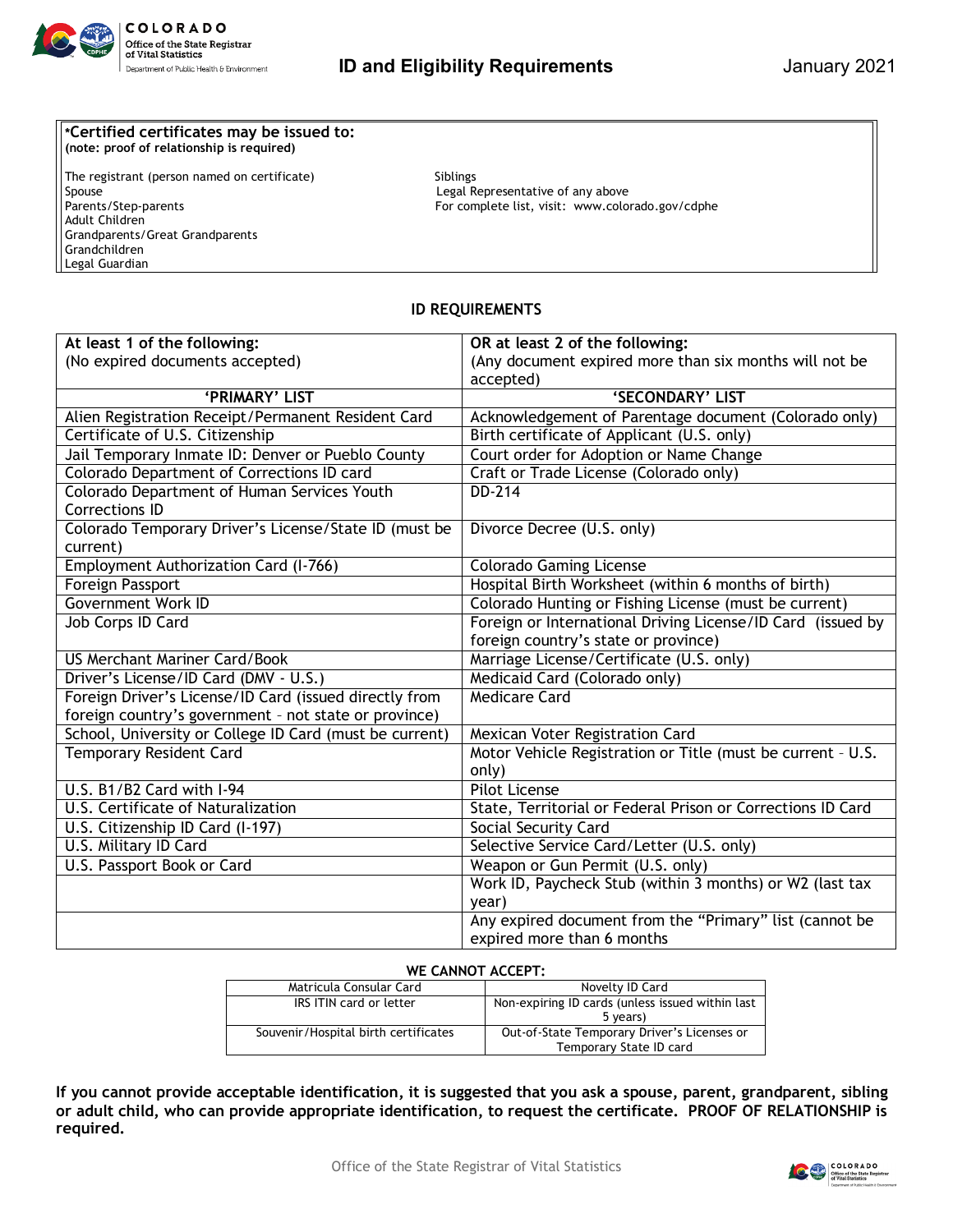

## **\*Certified certificates may be issued to: (note: proof of relationship is required)**

The registrant (person named on certificate) Siblings Spouse<br>
Parents/Step-parents<br>
Parents/Step-parents<br>
Complete list, visit: www.color Adult Children Grandparents/Great Grandparents Grandchildren Legal Guardian

For complete list, visit: www.colorado.gov/cdphe

## **ID REQUIREMENTS**

| At least 1 of the following:                            | OR at least 2 of the following:                             |
|---------------------------------------------------------|-------------------------------------------------------------|
| (No expired documents accepted)                         | (Any document expired more than six months will not be      |
|                                                         | accepted)                                                   |
| 'PRIMARY' LIST                                          | 'SECONDARY' LIST                                            |
| Alien Registration Receipt/Permanent Resident Card      | Acknowledgement of Parentage document (Colorado only)       |
| Certificate of U.S. Citizenship                         | Birth certificate of Applicant (U.S. only)                  |
| Jail Temporary Inmate ID: Denver or Pueblo County       | Court order for Adoption or Name Change                     |
| Colorado Department of Corrections ID card              | Craft or Trade License (Colorado only)                      |
| Colorado Department of Human Services Youth             | DD-214                                                      |
| <b>Corrections ID</b>                                   |                                                             |
| Colorado Temporary Driver's License/State ID (must be   | Divorce Decree (U.S. only)                                  |
| current)                                                |                                                             |
| Employment Authorization Card (I-766)                   | <b>Colorado Gaming License</b>                              |
| <b>Foreign Passport</b>                                 | Hospital Birth Worksheet (within 6 months of birth)         |
| <b>Government Work ID</b>                               | Colorado Hunting or Fishing License (must be current)       |
| Job Corps ID Card                                       | Foreign or International Driving License/ID Card (issued by |
|                                                         | foreign country's state or province)                        |
| <b>US Merchant Mariner Card/Book</b>                    | Marriage License/Certificate (U.S. only)                    |
| Driver's License/ID Card (DMV - U.S.)                   | Medicaid Card (Colorado only)                               |
| Foreign Driver's License/ID Card (issued directly from  | <b>Medicare Card</b>                                        |
| foreign country's government - not state or province)   |                                                             |
| School, University or College ID Card (must be current) | Mexican Voter Registration Card                             |
| <b>Temporary Resident Card</b>                          | Motor Vehicle Registration or Title (must be current - U.S. |
|                                                         | only)                                                       |
| U.S. B1/B2 Card with I-94                               | <b>Pilot License</b>                                        |
| U.S. Certificate of Naturalization                      | State, Territorial or Federal Prison or Corrections ID Card |
| U.S. Citizenship ID Card (I-197)                        | Social Security Card                                        |
| U.S. Military ID Card                                   | Selective Service Card/Letter (U.S. only)                   |
| U.S. Passport Book or Card                              | Weapon or Gun Permit (U.S. only)                            |
|                                                         | Work ID, Paycheck Stub (within 3 months) or W2 (last tax    |
|                                                         | year)                                                       |
|                                                         | Any expired document from the "Primary" list (cannot be     |
|                                                         | expired more than 6 months                                  |

## **WE CANNOT ACCEPT:**

| Matricula Consular Card              | Novelty ID Card                                  |  |
|--------------------------------------|--------------------------------------------------|--|
| IRS ITIN card or letter              | Non-expiring ID cards (unless issued within last |  |
|                                      | 5 years)                                         |  |
| Souvenir/Hospital birth certificates | Out-of-State Temporary Driver's Licenses or      |  |
|                                      | Temporary State ID card                          |  |

**If you cannot provide acceptable identification, it is suggested that you ask a spouse, parent, grandparent, sibling or adult child, who can provide appropriate identification, to request the certificate. PROOF OF RELATIONSHIP is required.**